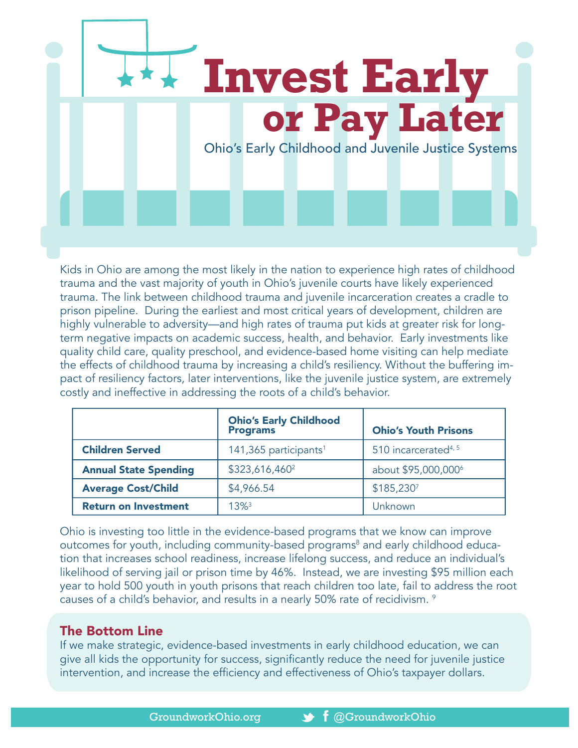

Kids in Ohio are among the most likely in the nation to experience high rates of childhood trauma and the vast majority of youth in Ohio's juvenile courts have likely experienced trauma. The link between childhood trauma and juvenile incarceration creates a cradle to prison pipeline. During the earliest and most critical years of development, children are highly vulnerable to adversity—and high rates of trauma put kids at greater risk for longterm negative impacts on academic success, health, and behavior. Early investments like quality child care, quality preschool, and evidence-based home visiting can help mediate the effects of childhood trauma by increasing a child's resiliency. Without the buffering impact of resiliency factors, later interventions, like the juvenile justice system, are extremely costly and ineffective in addressing the roots of a child's behavior.

|                              | <b>Ohio's Early Childhood</b><br><b>Programs</b> | <b>Ohio's Youth Prisons</b>      |
|------------------------------|--------------------------------------------------|----------------------------------|
| <b>Children Served</b>       | 141,365 participants <sup>1</sup>                | 510 incarcerated <sup>4, 5</sup> |
| <b>Annual State Spending</b> | \$323,616,460 <sup>2</sup>                       | about \$95,000,000 <sup>6</sup>  |
| <b>Average Cost/Child</b>    | \$4,966.54                                       | \$185,2307                       |
| <b>Return on Investment</b>  | $1.3\%$ <sup>3</sup>                             | Unknown                          |

Ohio is investing too little in the evidence-based programs that we know can improve outcomes for youth, including community-based programs<sup>8</sup> and early childhood education that increases school readiness, increase lifelong success, and reduce an individual's likelihood of serving jail or prison time by 46%. Instead, we are investing \$95 million each year to hold 500 youth in youth prisons that reach children too late, fail to address the root causes of a child's behavior, and results in a nearly 50% rate of recidivism.  $^{\circ}$ 

## The Bottom Line

If we make strategic, evidence-based investments in early childhood education, we can give all kids the opportunity for success, significantly reduce the need for juvenile justice intervention, and increase the efficiency and effectiveness of Ohio's taxpayer dollars.